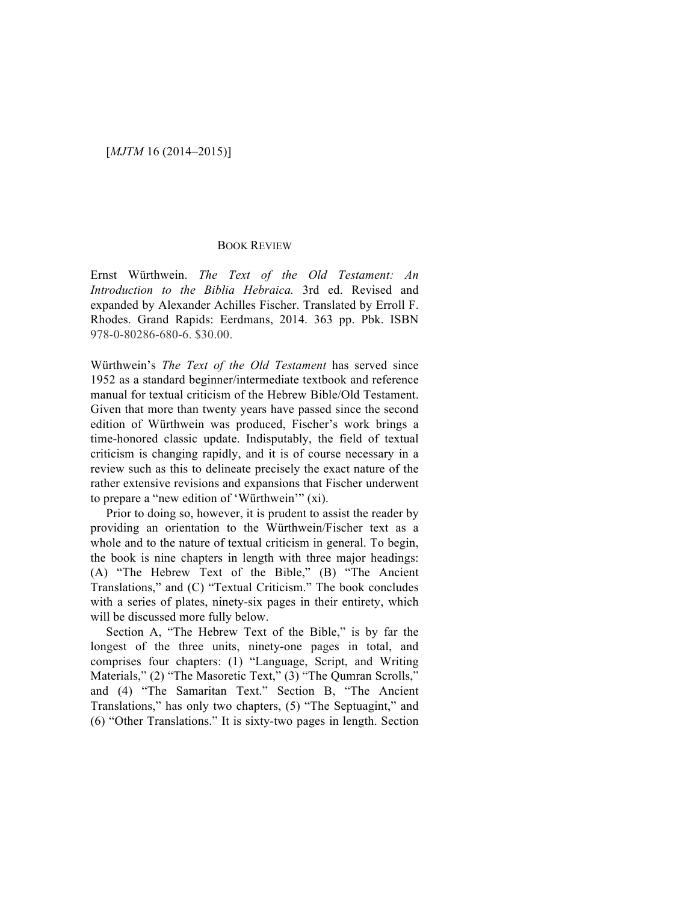### [*MJTM* 16 (2014–2015)]

#### BOOK REVIEW

Ernst Würthwein. *The Text of the Old Testament: An Introduction to the Biblia Hebraica.* 3rd ed. Revised and expanded by Alexander Achilles Fischer. Translated by Erroll F. Rhodes. Grand Rapids: Eerdmans, 2014. 363 pp. Pbk. ISBN 978-0-80286-680-6. \$30.00.

Würthwein's *The Text of the Old Testament* has served since 1952 as a standard beginner/intermediate textbook and reference manual for textual criticism of the Hebrew Bible/Old Testament. Given that more than twenty years have passed since the second edition of Würthwein was produced, Fischer's work brings a time-honored classic update. Indisputably, the field of textual criticism is changing rapidly, and it is of course necessary in a review such as this to delineate precisely the exact nature of the rather extensive revisions and expansions that Fischer underwent to prepare a "new edition of 'Würthwein'" (xi).

Prior to doing so, however, it is prudent to assist the reader by providing an orientation to the Würthwein/Fischer text as a whole and to the nature of textual criticism in general. To begin, the book is nine chapters in length with three major headings: (A) "The Hebrew Text of the Bible," (B) "The Ancient Translations," and (C) "Textual Criticism." The book concludes with a series of plates, ninety-six pages in their entirety, which will be discussed more fully below.

Section A, "The Hebrew Text of the Bible," is by far the longest of the three units, ninety-one pages in total, and comprises four chapters: (1) "Language, Script, and Writing Materials," (2) "The Masoretic Text," (3) "The Qumran Scrolls," and (4) "The Samaritan Text." Section B, "The Ancient Translations," has only two chapters, (5) "The Septuagint," and (6) "Other Translations." It is sixty-two pages in length. Section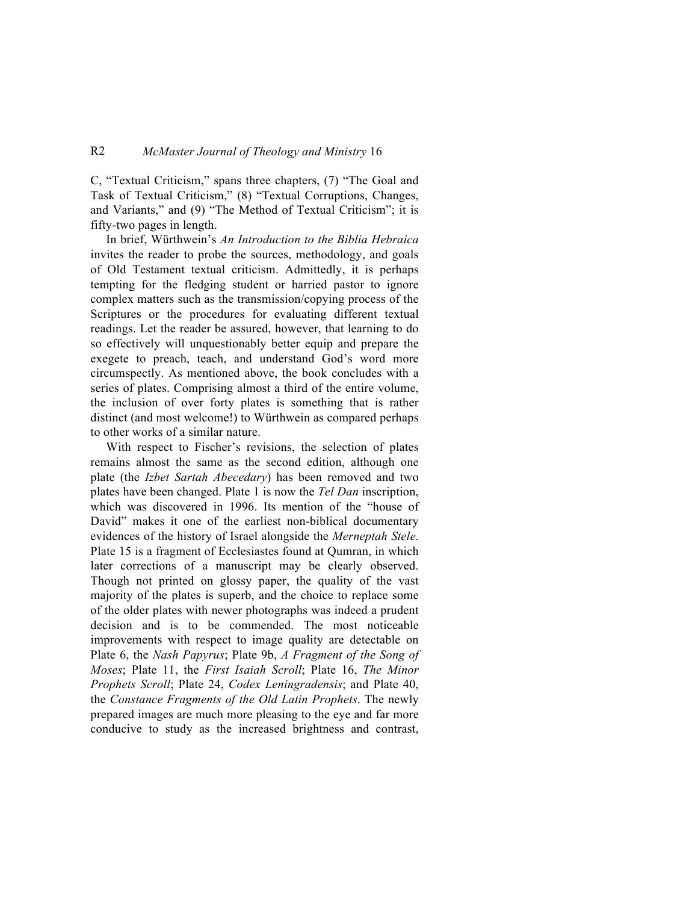# R2 *McMaster Journal of Theology and Ministry* 16

C, "Textual Criticism," spans three chapters, (7) "The Goal and Task of Textual Criticism," (8) "Textual Corruptions, Changes, and Variants," and (9) "The Method of Textual Criticism"; it is fifty-two pages in length.

In brief, Würthwein's *An Introduction to the Biblia Hebraica* invites the reader to probe the sources, methodology, and goals of Old Testament textual criticism. Admittedly, it is perhaps tempting for the fledging student or harried pastor to ignore complex matters such as the transmission/copying process of the Scriptures or the procedures for evaluating different textual readings. Let the reader be assured, however, that learning to do so effectively will unquestionably better equip and prepare the exegete to preach, teach, and understand God's word more circumspectly. As mentioned above, the book concludes with a series of plates. Comprising almost a third of the entire volume, the inclusion of over forty plates is something that is rather distinct (and most welcome!) to Würthwein as compared perhaps to other works of a similar nature.

With respect to Fischer's revisions, the selection of plates remains almost the same as the second edition, although one plate (the *Izbet Sartah Abecedary*) has been removed and two plates have been changed. Plate 1 is now the *Tel Dan* inscription, which was discovered in 1996. Its mention of the "house of David" makes it one of the earliest non-biblical documentary evidences of the history of Israel alongside the *Merneptah Stele*. Plate 15 is a fragment of Ecclesiastes found at Qumran, in which later corrections of a manuscript may be clearly observed. Though not printed on glossy paper, the quality of the vast majority of the plates is superb, and the choice to replace some of the older plates with newer photographs was indeed a prudent decision and is to be commended. The most noticeable improvements with respect to image quality are detectable on Plate 6, the *Nash Papyrus*; Plate 9b, *A Fragment of the Song of Moses*; Plate 11, the *First Isaiah Scroll*; Plate 16, *The Minor Prophets Scroll*; Plate 24, *Codex Leningradensis*; and Plate 40, the *Constance Fragments of the Old Latin Prophets*. The newly prepared images are much more pleasing to the eye and far more conducive to study as the increased brightness and contrast,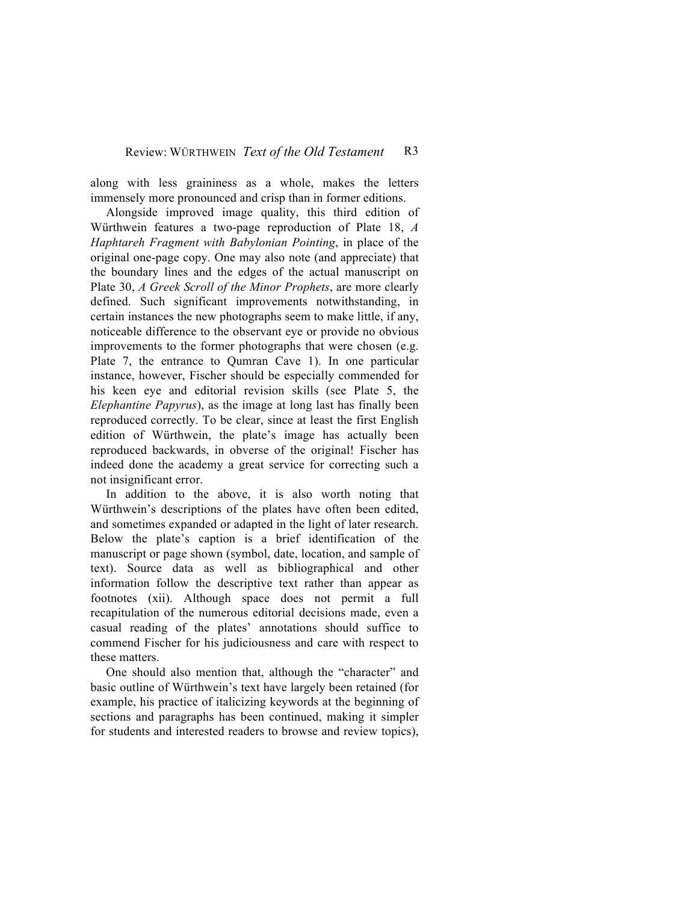along with less graininess as a whole, makes the letters immensely more pronounced and crisp than in former editions.

Alongside improved image quality, this third edition of Würthwein features a two-page reproduction of Plate 18, *A Haphtareh Fragment with Babylonian Pointing*, in place of the original one-page copy. One may also note (and appreciate) that the boundary lines and the edges of the actual manuscript on Plate 30, *A Greek Scroll of the Minor Prophets*, are more clearly defined. Such significant improvements notwithstanding, in certain instances the new photographs seem to make little, if any, noticeable difference to the observant eye or provide no obvious improvements to the former photographs that were chosen (e.g. Plate 7, the entrance to Qumran Cave 1). In one particular instance, however, Fischer should be especially commended for his keen eye and editorial revision skills (see Plate 5, the *Elephantine Papyrus*), as the image at long last has finally been reproduced correctly. To be clear, since at least the first English edition of Würthwein, the plate's image has actually been reproduced backwards, in obverse of the original! Fischer has indeed done the academy a great service for correcting such a not insignificant error.

In addition to the above, it is also worth noting that Würthwein's descriptions of the plates have often been edited, and sometimes expanded or adapted in the light of later research. Below the plate's caption is a brief identification of the manuscript or page shown (symbol, date, location, and sample of text). Source data as well as bibliographical and other information follow the descriptive text rather than appear as footnotes (xii). Although space does not permit a full recapitulation of the numerous editorial decisions made, even a casual reading of the plates' annotations should suffice to commend Fischer for his judiciousness and care with respect to these matters.

One should also mention that, although the "character" and basic outline of Würthwein's text have largely been retained (for example, his practice of italicizing keywords at the beginning of sections and paragraphs has been continued, making it simpler for students and interested readers to browse and review topics),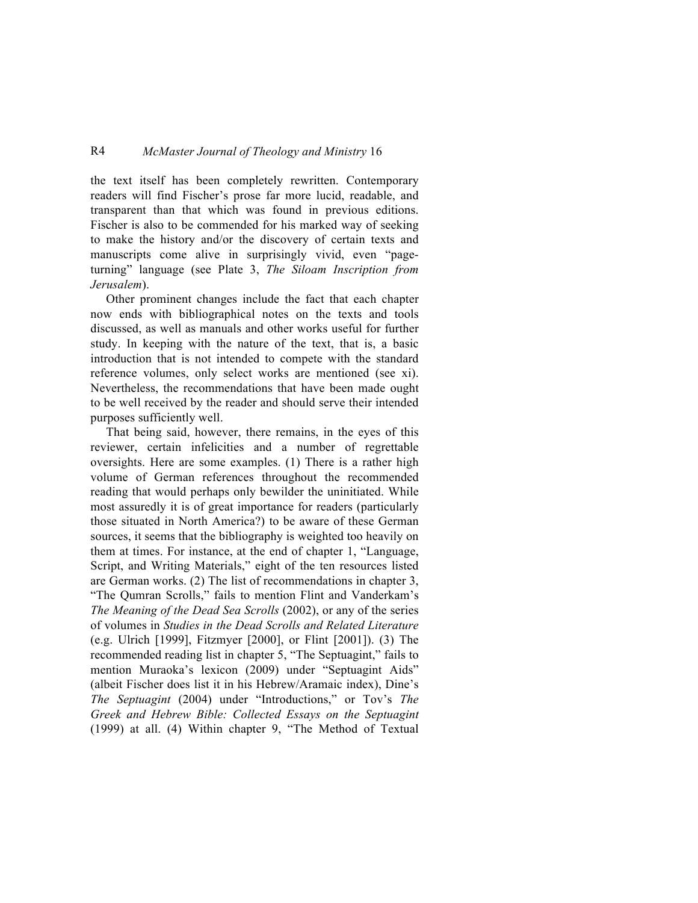## R4 *McMaster Journal of Theology and Ministry* 16

the text itself has been completely rewritten. Contemporary readers will find Fischer's prose far more lucid, readable, and transparent than that which was found in previous editions. Fischer is also to be commended for his marked way of seeking to make the history and/or the discovery of certain texts and manuscripts come alive in surprisingly vivid, even "pageturning" language (see Plate 3, *The Siloam Inscription from Jerusalem*).

Other prominent changes include the fact that each chapter now ends with bibliographical notes on the texts and tools discussed, as well as manuals and other works useful for further study. In keeping with the nature of the text, that is, a basic introduction that is not intended to compete with the standard reference volumes, only select works are mentioned (see xi). Nevertheless, the recommendations that have been made ought to be well received by the reader and should serve their intended purposes sufficiently well.

That being said, however, there remains, in the eyes of this reviewer, certain infelicities and a number of regrettable oversights. Here are some examples. (1) There is a rather high volume of German references throughout the recommended reading that would perhaps only bewilder the uninitiated. While most assuredly it is of great importance for readers (particularly those situated in North America?) to be aware of these German sources, it seems that the bibliography is weighted too heavily on them at times. For instance, at the end of chapter 1, "Language, Script, and Writing Materials," eight of the ten resources listed are German works. (2) The list of recommendations in chapter 3, "The Qumran Scrolls," fails to mention Flint and Vanderkam's *The Meaning of the Dead Sea Scrolls* (2002), or any of the series of volumes in *Studies in the Dead Scrolls and Related Literature* (e.g. Ulrich [1999], Fitzmyer [2000], or Flint [2001]). (3) The recommended reading list in chapter 5, "The Septuagint," fails to mention Muraoka's lexicon (2009) under "Septuagint Aids" (albeit Fischer does list it in his Hebrew/Aramaic index), Dine's *The Septuagint* (2004) under "Introductions," or Tov's *The Greek and Hebrew Bible: Collected Essays on the Septuagint* (1999) at all. (4) Within chapter 9, "The Method of Textual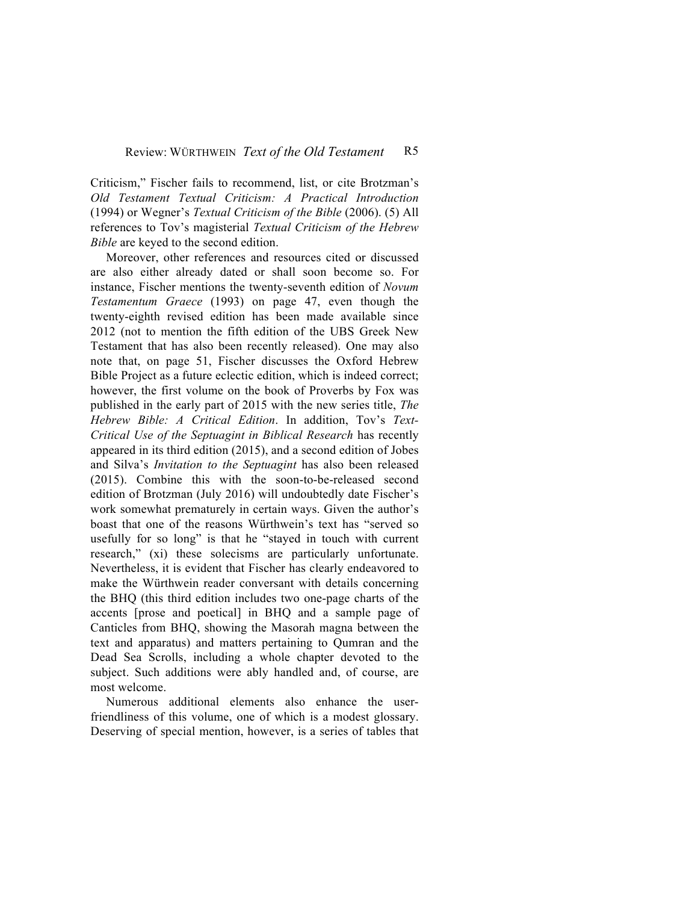Criticism," Fischer fails to recommend, list, or cite Brotzman's *Old Testament Textual Criticism: A Practical Introduction* (1994) or Wegner's *Textual Criticism of the Bible* (2006). (5) All references to Tov's magisterial *Textual Criticism of the Hebrew Bible* are keyed to the second edition.

Moreover, other references and resources cited or discussed are also either already dated or shall soon become so. For instance, Fischer mentions the twenty-seventh edition of *Novum Testamentum Graece* (1993) on page 47, even though the twenty-eighth revised edition has been made available since 2012 (not to mention the fifth edition of the UBS Greek New Testament that has also been recently released). One may also note that, on page 51, Fischer discusses the Oxford Hebrew Bible Project as a future eclectic edition, which is indeed correct; however, the first volume on the book of Proverbs by Fox was published in the early part of 2015 with the new series title, *The Hebrew Bible: A Critical Edition*. In addition, Tov's *Text-Critical Use of the Septuagint in Biblical Research* has recently appeared in its third edition (2015), and a second edition of Jobes and Silva's *Invitation to the Septuagint* has also been released (2015). Combine this with the soon-to-be-released second edition of Brotzman (July 2016) will undoubtedly date Fischer's work somewhat prematurely in certain ways. Given the author's boast that one of the reasons Würthwein's text has "served so usefully for so long" is that he "stayed in touch with current research," (xi) these solecisms are particularly unfortunate. Nevertheless, it is evident that Fischer has clearly endeavored to make the Würthwein reader conversant with details concerning the BHQ (this third edition includes two one-page charts of the accents [prose and poetical] in BHQ and a sample page of Canticles from BHQ, showing the Masorah magna between the text and apparatus) and matters pertaining to Qumran and the Dead Sea Scrolls, including a whole chapter devoted to the subject. Such additions were ably handled and, of course, are most welcome.

Numerous additional elements also enhance the userfriendliness of this volume, one of which is a modest glossary. Deserving of special mention, however, is a series of tables that